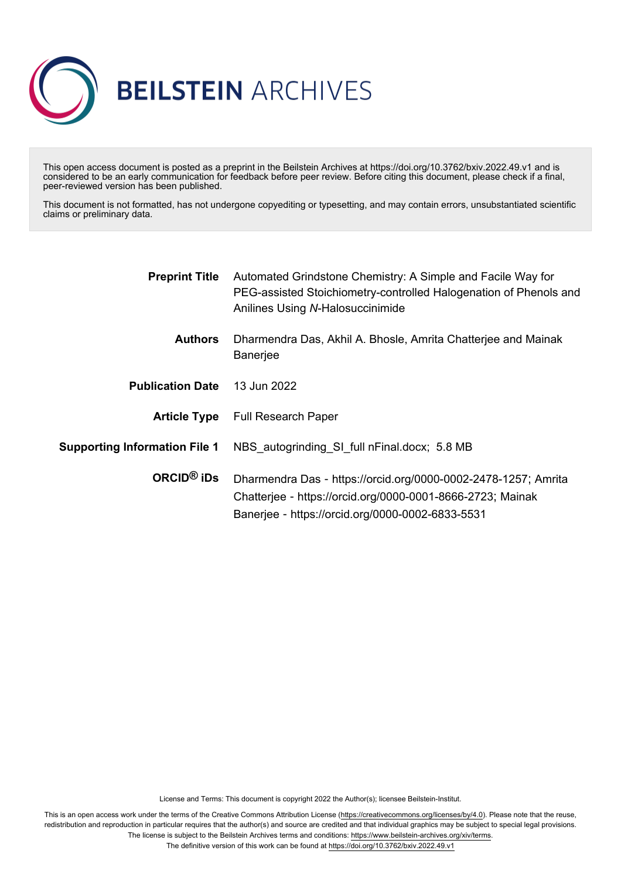

This open access document is posted as a preprint in the Beilstein Archives at https://doi.org/10.3762/bxiv.2022.49.v1 and is considered to be an early communication for feedback before peer review. Before citing this document, please check if a final, peer-reviewed version has been published.

This document is not formatted, has not undergone copyediting or typesetting, and may contain errors, unsubstantiated scientific claims or preliminary data.

| Automated Grindstone Chemistry: A Simple and Facile Way for<br>PEG-assisted Stoichiometry-controlled Halogenation of Phenols and<br>Anilines Using N-Halosuccinimide             |
|----------------------------------------------------------------------------------------------------------------------------------------------------------------------------------|
| Dharmendra Das, Akhil A. Bhosle, Amrita Chatterjee and Mainak<br><b>Banerjee</b>                                                                                                 |
| 13 Jun 2022                                                                                                                                                                      |
| <b>Article Type</b> Full Research Paper                                                                                                                                          |
| NBS autogrinding SI full nFinal.docx; 5.8 MB                                                                                                                                     |
| Dharmendra Das - https://orcid.org/0000-0002-2478-1257; Amrita<br>Chatterjee - https://orcid.org/0000-0001-8666-2723; Mainak<br>Banerjee - https://orcid.org/0000-0002-6833-5531 |
|                                                                                                                                                                                  |

License and Terms: This document is copyright 2022 the Author(s); licensee Beilstein-Institut.

This is an open access work under the terms of the Creative Commons Attribution License [\(https://creativecommons.org/licenses/by/4.0\)](https://creativecommons.org/licenses/by/4.0). Please note that the reuse, redistribution and reproduction in particular requires that the author(s) and source are credited and that individual graphics may be subject to special legal provisions. The license is subject to the Beilstein Archives terms and conditions: [https://www.beilstein-archives.org/xiv/terms.](https://www.beilstein-archives.org/xiv/terms)

The definitive version of this work can be found at <https://doi.org/10.3762/bxiv.2022.49.v1>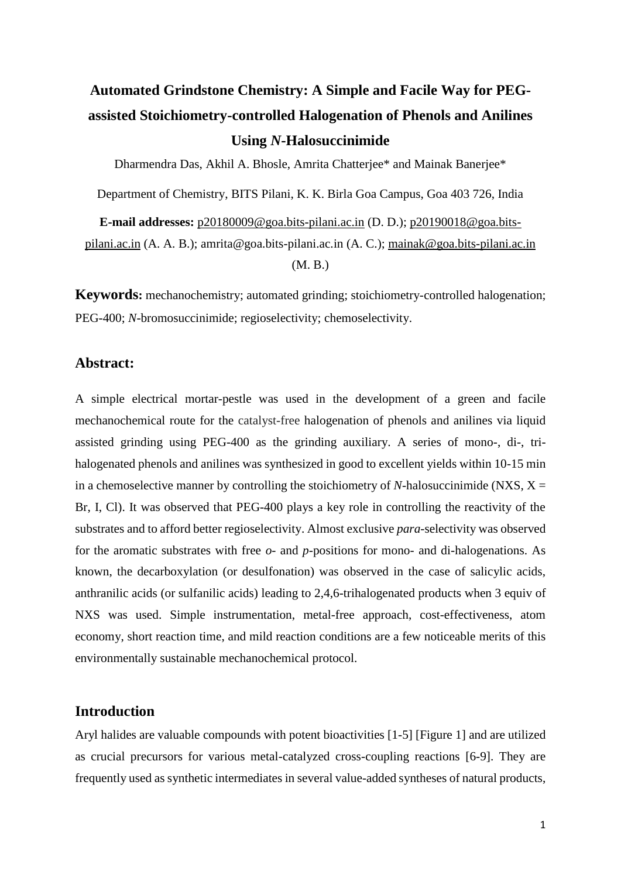# **Automated Grindstone Chemistry: A Simple and Facile Way for PEGassisted Stoichiometry-controlled Halogenation of Phenols and Anilines Using** *N***-Halosuccinimide**

Dharmendra Das, Akhil A. Bhosle, Amrita Chatterjee\* and Mainak Banerjee\*

Department of Chemistry, BITS Pilani, K. K. Birla Goa Campus, Goa 403 726, India

**E-mail addresses:** [p20180009@goa.bits-pilani.ac.in](mailto:p20180009@goa.bits-pilani.ac.in) (D. D.); p20190018@goa.bitspilani.ac.in (A. A. B.); amrita@goa.bits-pilani.ac.in (A. C.); [mainak@goa.bits-pilani.ac.in](mailto:mainak@goa.bits-pilani.ac.in)

(M. B.)

**Keywords:** mechanochemistry; automated grinding; stoichiometry-controlled halogenation; PEG-400; *N*-bromosuccinimide; regioselectivity; chemoselectivity.

## **Abstract:**

A simple electrical mortar-pestle was used in the development of a green and facile mechanochemical route for the catalyst-free halogenation of phenols and anilines via liquid assisted grinding using PEG-400 as the grinding auxiliary. A series of mono-, di-, trihalogenated phenols and anilines was synthesized in good to excellent yields within 10-15 min in a chemoselective manner by controlling the stoichiometry of *N*-halosuccinimide (NXS,  $X =$ Br, I, Cl). It was observed that PEG-400 plays a key role in controlling the reactivity of the substrates and to afford better regioselectivity. Almost exclusive *para*-selectivity was observed for the aromatic substrates with free *o-* and *p*-positions for mono- and di-halogenations. As known, the decarboxylation (or desulfonation) was observed in the case of salicylic acids, anthranilic acids (or sulfanilic acids) leading to 2,4,6-trihalogenated products when 3 equiv of NXS was used. Simple instrumentation, metal-free approach, cost-effectiveness, atom economy, short reaction time, and mild reaction conditions are a few noticeable merits of this environmentally sustainable mechanochemical protocol.

## **Introduction**

Aryl halides are valuable compounds with potent bioactivities [1-5] [Figure 1] and are utilized as crucial precursors for various metal-catalyzed cross-coupling reactions [6-9]. They are frequently used as synthetic intermediates in several value-added syntheses of natural products,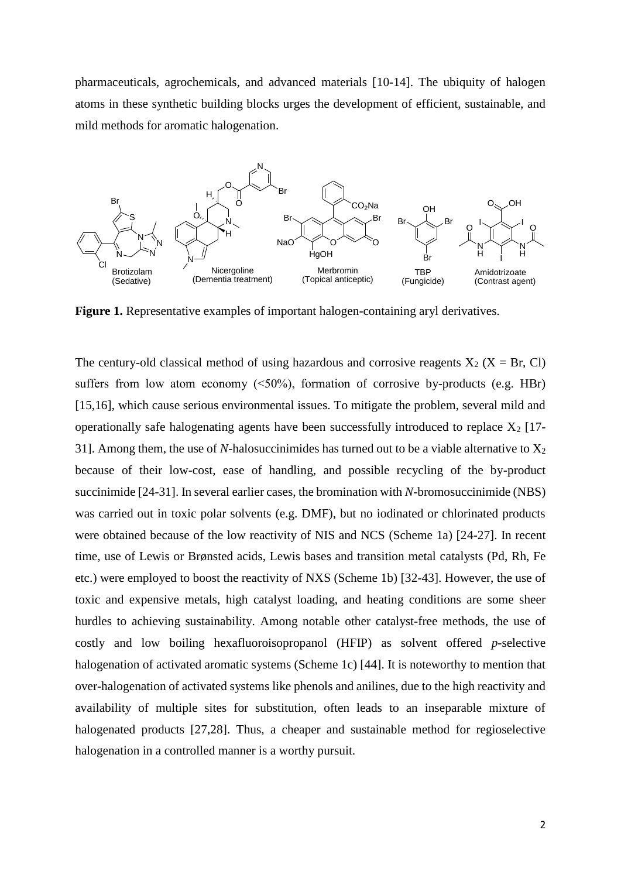pharmaceuticals, agrochemicals, and advanced materials [10-14]. The ubiquity of halogen atoms in these synthetic building blocks urges the development of efficient, sustainable, and mild methods for aromatic halogenation.



**Figure 1.** Representative examples of important halogen-containing aryl derivatives.

The century-old classical method of using hazardous and corrosive reagents  $X_2$  ( $X = Br$ , Cl) suffers from low atom economy  $(\leq 50\%)$ , formation of corrosive by-products (e.g. HBr) [15,16], which cause serious environmental issues. To mitigate the problem, several mild and operationally safe halogenating agents have been successfully introduced to replace  $X_2$  [17-31]. Among them, the use of *N*-halosuccinimides has turned out to be a viable alternative to  $X_2$ because of their low-cost, ease of handling, and possible recycling of the by-product succinimide [24-31]. In several earlier cases, the bromination with *N*-bromosuccinimide (NBS) was carried out in toxic polar solvents (e.g. DMF), but no iodinated or chlorinated products were obtained because of the low reactivity of NIS and NCS (Scheme 1a) [24-27]. In recent time, use of Lewis or Brønsted acids, Lewis bases and transition metal catalysts (Pd, Rh, Fe etc.) were employed to boost the reactivity of NXS (Scheme 1b) [32-43]. However, the use of toxic and expensive metals, high catalyst loading, and heating conditions are some sheer hurdles to achieving sustainability. Among notable other catalyst-free methods, the use of costly and low boiling hexafluoroisopropanol (HFIP) as solvent offered *p*-selective halogenation of activated aromatic systems (Scheme 1c) [44]. It is noteworthy to mention that over-halogenation of activated systems like phenols and anilines, due to the high reactivity and availability of multiple sites for substitution, often leads to an inseparable mixture of halogenated products [27,28]. Thus, a cheaper and sustainable method for regioselective halogenation in a controlled manner is a worthy pursuit.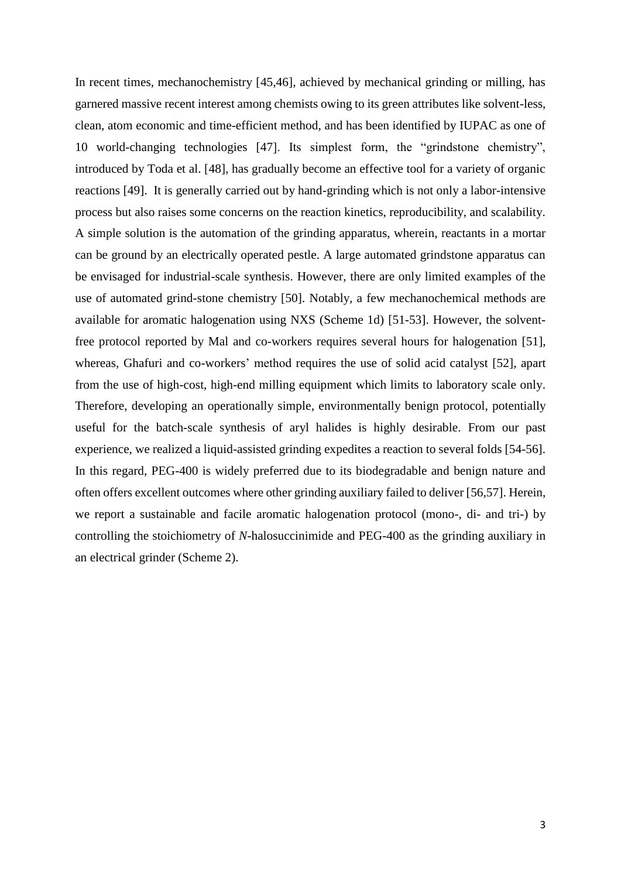In recent times, mechanochemistry [45,46], achieved by mechanical grinding or milling, has garnered massive recent interest among chemists owing to its green attributes like solvent-less, clean, atom economic and time-efficient method, and has been identified by IUPAC as one of 10 world-changing technologies [47]. Its simplest form, the "grindstone chemistry", introduced by Toda et al. [48], has gradually become an effective tool for a variety of organic reactions [49]. It is generally carried out by hand-grinding which is not only a labor-intensive process but also raises some concerns on the reaction kinetics, reproducibility, and scalability. A simple solution is the automation of the grinding apparatus, wherein, reactants in a mortar can be ground by an electrically operated pestle. A large automated grindstone apparatus can be envisaged for industrial-scale synthesis. However, there are only limited examples of the use of automated grind-stone chemistry [50]. Notably, a few mechanochemical methods are available for aromatic halogenation using NXS (Scheme 1d) [51-53]. However, the solventfree protocol reported by Mal and co-workers requires several hours for halogenation [51], whereas, Ghafuri and co-workers' method requires the use of solid acid catalyst [52], apart from the use of high-cost, high-end milling equipment which limits to laboratory scale only. Therefore, developing an operationally simple, environmentally benign protocol, potentially useful for the batch-scale synthesis of aryl halides is highly desirable. From our past experience, we realized a liquid-assisted grinding expedites a reaction to several folds [54-56]. In this regard, PEG-400 is widely preferred due to its biodegradable and benign nature and often offers excellent outcomes where other grinding auxiliary failed to deliver [56,57]. Herein, we report a sustainable and facile aromatic halogenation protocol (mono-, di- and tri-) by controlling the stoichiometry of *N*-halosuccinimide and PEG-400 as the grinding auxiliary in an electrical grinder (Scheme 2).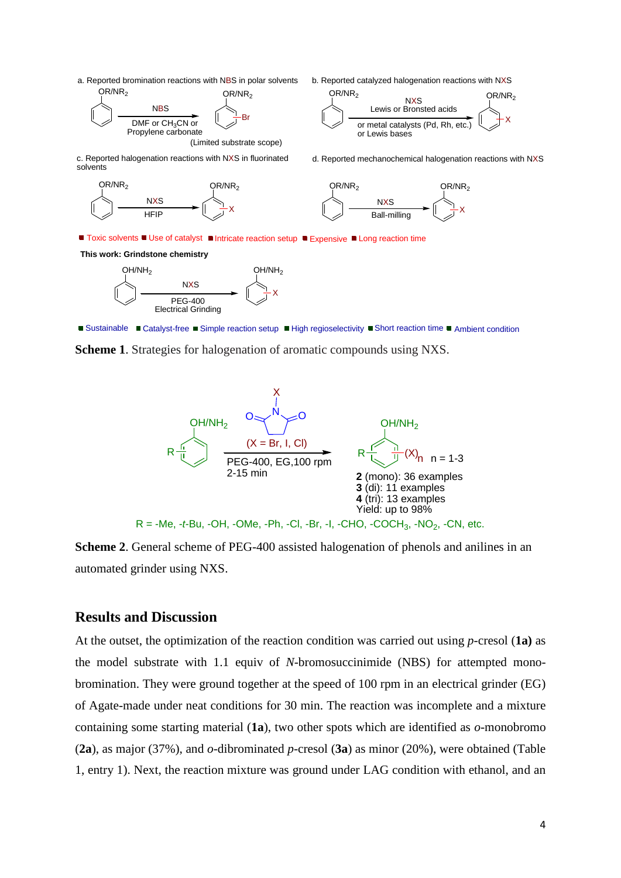a. Reported bromination reactions with NBS in polar solvents<br>OR/NR<sub>2</sub> OR/NR<sub>2</sub>  $OR/NR<sub>2</sub>$ 



(Limited substrate scope)

c. Reported halogenation reactions with NXS in fluorinated solvents





$$
OR/NR_2
$$
\n
$$
Lewis or Bronsted acids\nor metal catalysts (Pd, Rh, etc.)
$$
\n
$$
X
$$
\n
$$
or Lewis bases
$$

d. Reported mechanochemical halogenation reactions with NXS



Toxic solvents ■ Use of catalyst ■ Intricate reaction setup ■ Expensive ■ Long reaction time

**This work: Grindstone chemistry**



Sustainable Catalyst-free Simple reaction setup High regioselectivity Short reaction time Ambient condition

 $\int$ 

**Scheme 1**. Strategies for halogenation of aromatic compounds using NXS.



**Scheme 2**. General scheme of PEG-400 assisted halogenation of phenols and anilines in an automated grinder using NXS.

## **Results and Discussion**

At the outset, the optimization of the reaction condition was carried out using *p*-cresol (**1a)** as the model substrate with 1.1 equiv of *N*-bromosuccinimide (NBS) for attempted monobromination. They were ground together at the speed of 100 rpm in an electrical grinder (EG) of Agate-made under neat conditions for 30 min. The reaction was incomplete and a mixture containing some starting material (**1a**), two other spots which are identified as *o*-monobromo (**2a**), as major (37%), and *o*-dibrominated *p*-cresol (**3a**) as minor (20%), were obtained (Table 1, entry 1). Next, the reaction mixture was ground under LAG condition with ethanol, and an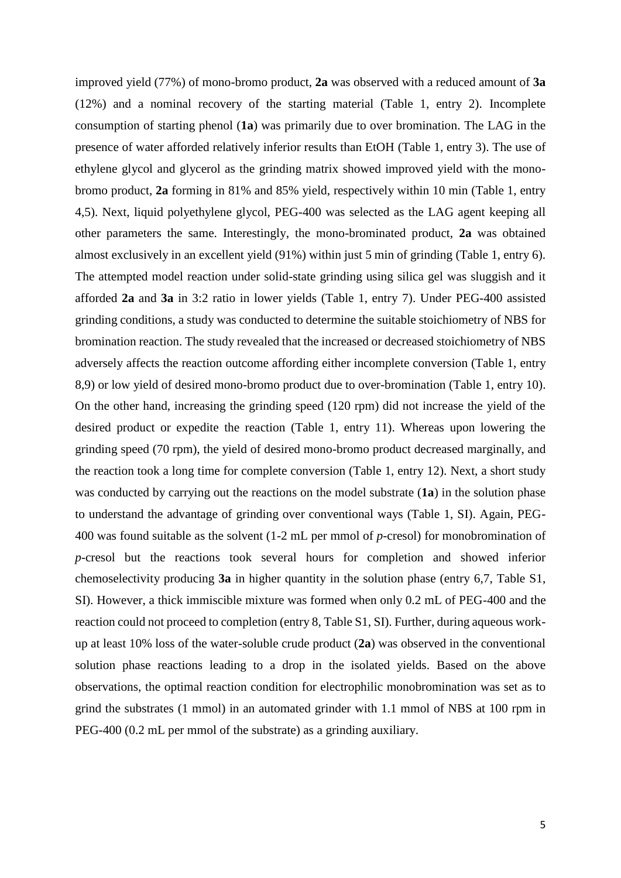improved yield (77%) of mono-bromo product, **2a** was observed with a reduced amount of **3a**  (12%) and a nominal recovery of the starting material (Table 1, entry 2). Incomplete consumption of starting phenol (**1a**) was primarily due to over bromination. The LAG in the presence of water afforded relatively inferior results than EtOH (Table 1, entry 3). The use of ethylene glycol and glycerol as the grinding matrix showed improved yield with the monobromo product, **2a** forming in 81% and 85% yield, respectively within 10 min (Table 1, entry 4,5). Next, liquid polyethylene glycol, PEG-400 was selected as the LAG agent keeping all other parameters the same. Interestingly, the mono-brominated product, **2a** was obtained almost exclusively in an excellent yield (91%) within just 5 min of grinding (Table 1, entry 6). The attempted model reaction under solid-state grinding using silica gel was sluggish and it afforded **2a** and **3a** in 3:2 ratio in lower yields (Table 1, entry 7). Under PEG-400 assisted grinding conditions, a study was conducted to determine the suitable stoichiometry of NBS for bromination reaction. The study revealed that the increased or decreased stoichiometry of NBS adversely affects the reaction outcome affording either incomplete conversion (Table 1, entry 8,9) or low yield of desired mono-bromo product due to over-bromination (Table 1, entry 10). On the other hand, increasing the grinding speed (120 rpm) did not increase the yield of the desired product or expedite the reaction (Table 1, entry 11). Whereas upon lowering the grinding speed (70 rpm), the yield of desired mono-bromo product decreased marginally, and the reaction took a long time for complete conversion (Table 1, entry 12). Next, a short study was conducted by carrying out the reactions on the model substrate (**1a**) in the solution phase to understand the advantage of grinding over conventional ways (Table 1, SI). Again, PEG-400 was found suitable as the solvent (1-2 mL per mmol of *p*-cresol) for monobromination of *p*-cresol but the reactions took several hours for completion and showed inferior chemoselectivity producing **3a** in higher quantity in the solution phase (entry 6,7, Table S1, SI). However, a thick immiscible mixture was formed when only 0.2 mL of PEG-400 and the reaction could not proceed to completion (entry 8, Table S1, SI). Further, during aqueous workup at least 10% loss of the water-soluble crude product (**2a**) was observed in the conventional solution phase reactions leading to a drop in the isolated yields. Based on the above observations, the optimal reaction condition for electrophilic monobromination was set as to grind the substrates (1 mmol) in an automated grinder with 1.1 mmol of NBS at 100 rpm in PEG-400 (0.2 mL per mmol of the substrate) as a grinding auxiliary.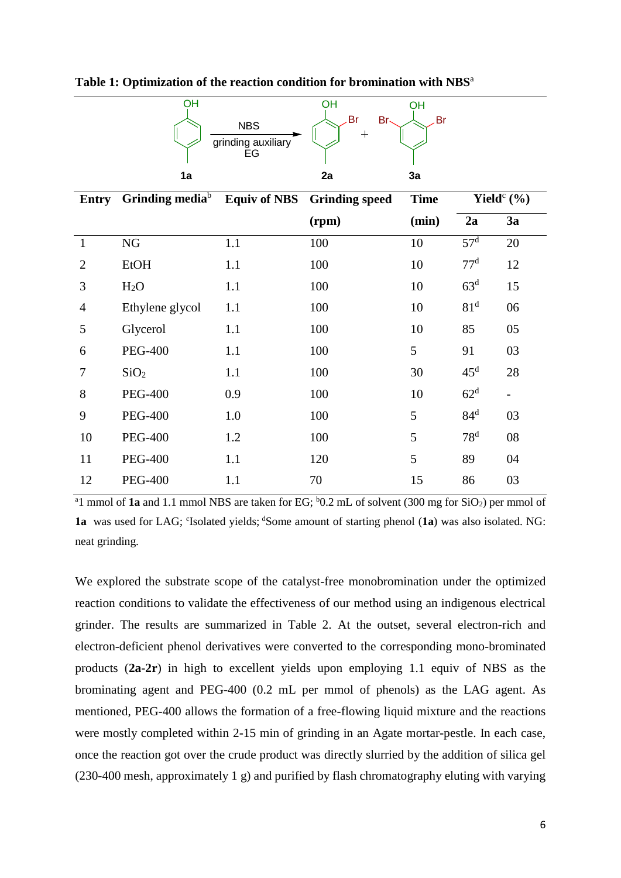|                | OH                                                 |                                        | OH                    | OH          |                 |                   |
|----------------|----------------------------------------------------|----------------------------------------|-----------------------|-------------|-----------------|-------------------|
|                |                                                    | <b>NBS</b><br>grinding auxiliary<br>EG | Br<br>Br-<br>$^{+}$   | Br          |                 |                   |
|                | 1a                                                 |                                        | 2a                    | 3a          |                 |                   |
| Entry          | Grinding media <sup>b</sup><br><b>Equiv of NBS</b> |                                        | <b>Grinding speed</b> | <b>Time</b> | Yield $c$ (%)   |                   |
|                |                                                    |                                        | (rpm)                 | (min)       | 2a              | 3a                |
| $\mathbf{1}$   | NG                                                 | 1.1                                    | 100                   | 10          | 57 <sup>d</sup> | 20                |
| $\overline{2}$ | <b>EtOH</b>                                        | 1.1                                    | 100                   | 10          | 77 <sup>d</sup> | 12                |
| 3              | H <sub>2</sub> O                                   | 1.1                                    | 100                   | 10          | 63 <sup>d</sup> | 15                |
| $\overline{4}$ | Ethylene glycol                                    | 1.1                                    | 100                   | 10          | 81 <sup>d</sup> | 06                |
| 5              | Glycerol                                           | 1.1                                    | 100                   | 10          | 85              | 05                |
| 6              | <b>PEG-400</b>                                     | 1.1                                    | 100                   | 5           | 91              | 03                |
| 7              | SiO <sub>2</sub>                                   | 1.1                                    | 100                   | 30          | $45^{\rm d}$    | 28                |
| 8              | <b>PEG-400</b>                                     | 0.9                                    | 100                   | 10          | 62 <sup>d</sup> | $\qquad \qquad -$ |
| 9              | <b>PEG-400</b>                                     | 1.0                                    | 100                   | 5           | 84 <sup>d</sup> | 03                |
| 10             | <b>PEG-400</b>                                     | 1.2                                    | 100                   | 5           | 78 <sup>d</sup> | 08                |
| 11             | <b>PEG-400</b>                                     | 1.1                                    | 120                   | 5           | 89              | 04                |
| 12             | <b>PEG-400</b>                                     | 1.1                                    | 70                    | 15          | 86              | 03                |

**Table 1: Optimization of the reaction condition for bromination with NBS**<sup>a</sup>

 $a_1$  mmol of **1a** and 1.1 mmol NBS are taken for EG;  $b_0$  mL of solvent (300 mg for SiO<sub>2</sub>) per mmol of 1a was used for LAG; 'Isolated yields; 'Some amount of starting phenol (1a) was also isolated. NG: neat grinding.

We explored the substrate scope of the catalyst-free monobromination under the optimized reaction conditions to validate the effectiveness of our method using an indigenous electrical grinder. The results are summarized in Table 2. At the outset, several electron-rich and electron-deficient phenol derivatives were converted to the corresponding mono-brominated products (**2a**-**2r**) in high to excellent yields upon employing 1.1 equiv of NBS as the brominating agent and PEG-400 (0.2 mL per mmol of phenols) as the LAG agent. As mentioned, PEG-400 allows the formation of a free-flowing liquid mixture and the reactions were mostly completed within 2-15 min of grinding in an Agate mortar-pestle. In each case, once the reaction got over the crude product was directly slurried by the addition of silica gel (230-400 mesh, approximately 1 g) and purified by flash chromatography eluting with varying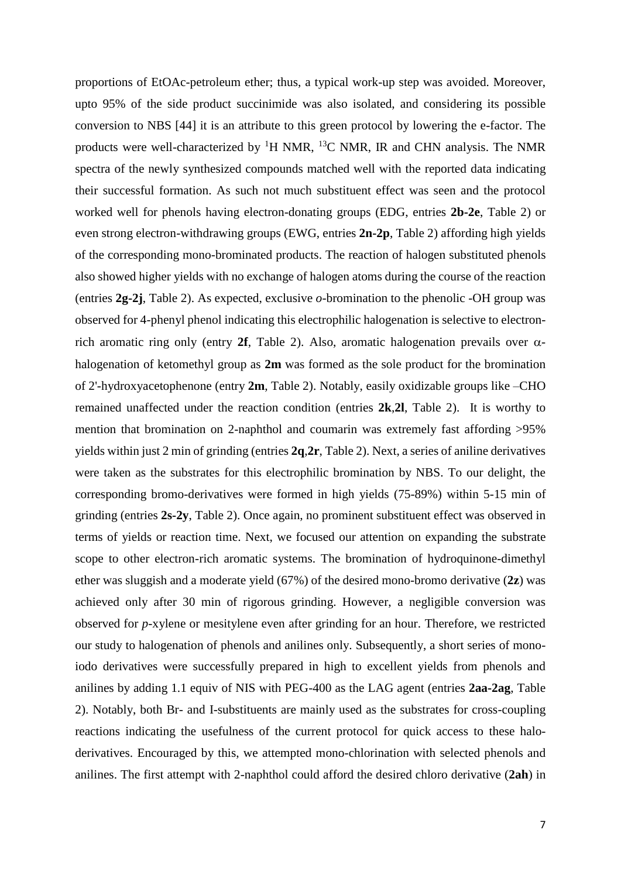proportions of EtOAc-petroleum ether; thus, a typical work-up step was avoided. Moreover, upto 95% of the side product succinimide was also isolated, and considering its possible conversion to NBS [44] it is an attribute to this green protocol by lowering the e-factor. The products were well-characterized by  ${}^{1}H$  NMR,  ${}^{13}C$  NMR, IR and CHN analysis. The NMR spectra of the newly synthesized compounds matched well with the reported data indicating their successful formation. As such not much substituent effect was seen and the protocol worked well for phenols having electron-donating groups (EDG, entries **2b-2e**, Table 2) or even strong electron-withdrawing groups (EWG, entries **2n-2p**, Table 2) affording high yields of the corresponding mono-brominated products. The reaction of halogen substituted phenols also showed higher yields with no exchange of halogen atoms during the course of the reaction (entries **2g-2j**, Table 2). As expected, exclusive *o*-bromination to the phenolic -OH group was observed for 4-phenyl phenol indicating this electrophilic halogenation is selective to electronrich aromatic ring only (entry 2f, Table 2). Also, aromatic halogenation prevails over  $\alpha$ halogenation of ketomethyl group as **2m** was formed as the sole product for the bromination of 2'-hydroxyacetophenone (entry **2m**, Table 2). Notably, easily oxidizable groups like –CHO remained unaffected under the reaction condition (entries **2k**,**2l**, Table 2). It is worthy to mention that bromination on 2-naphthol and coumarin was extremely fast affording >95% yields within just 2 min of grinding (entries **2q**,**2r**, Table 2). Next, a series of aniline derivatives were taken as the substrates for this electrophilic bromination by NBS. To our delight, the corresponding bromo-derivatives were formed in high yields (75-89%) within 5-15 min of grinding (entries **2s-2y**, Table 2). Once again, no prominent substituent effect was observed in terms of yields or reaction time. Next, we focused our attention on expanding the substrate scope to other electron-rich aromatic systems. The bromination of hydroquinone-dimethyl ether was sluggish and a moderate yield (67%) of the desired mono-bromo derivative (**2z**) was achieved only after 30 min of rigorous grinding. However, a negligible conversion was observed for *p*-xylene or mesitylene even after grinding for an hour. Therefore, we restricted our study to halogenation of phenols and anilines only. Subsequently, a short series of monoiodo derivatives were successfully prepared in high to excellent yields from phenols and anilines by adding 1.1 equiv of NIS with PEG-400 as the LAG agent (entries **2aa-2ag**, Table 2). Notably, both Br- and I-substituents are mainly used as the substrates for cross-coupling reactions indicating the usefulness of the current protocol for quick access to these haloderivatives. Encouraged by this, we attempted mono-chlorination with selected phenols and anilines. The first attempt with 2-naphthol could afford the desired chloro derivative (**2ah**) in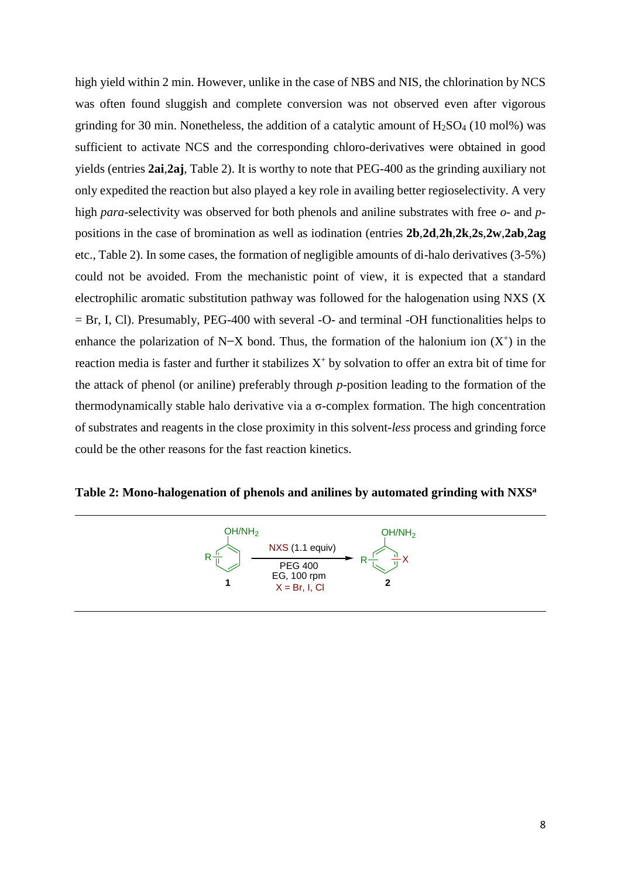high yield within 2 min. However, unlike in the case of NBS and NIS, the chlorination by NCS was often found sluggish and complete conversion was not observed even after vigorous grinding for 30 min. Nonetheless, the addition of a catalytic amount of  $H<sub>2</sub>SO<sub>4</sub>$  (10 mol%) was sufficient to activate NCS and the corresponding chloro-derivatives were obtained in good yields (entries **2ai**,**2aj**, Table 2). It is worthy to note that PEG-400 as the grinding auxiliary not only expedited the reaction but also played a key role in availing better regioselectivity. A very high *para*-selectivity was observed for both phenols and aniline substrates with free *o-* and *p*positions in the case of bromination as well as iodination (entries **2b**,**2d**,**2h**,**2k**,**2s**,**2w**,**2ab**,**2ag**  etc., Table 2). In some cases, the formation of negligible amounts of di-halo derivatives (3-5%) could not be avoided. From the mechanistic point of view, it is expected that a standard electrophilic aromatic substitution pathway was followed for the halogenation using NXS (X = Br, I, Cl). Presumably, PEG-400 with several -O- and terminal -OH functionalities helps to enhance the polarization of N–X bond. Thus, the formation of the halonium ion  $(X^+)$  in the reaction media is faster and further it stabilizes  $X^+$  by solvation to offer an extra bit of time for the attack of phenol (or aniline) preferably through *p*-position leading to the formation of the thermodynamically stable halo derivative via a σ-complex formation. The high concentration of substrates and reagents in the close proximity in this solvent-*less* process and grinding force could be the other reasons for the fast reaction kinetics.

**Table 2: Mono-halogenation of phenols and anilines by automated grinding with NXS<sup>a</sup>**

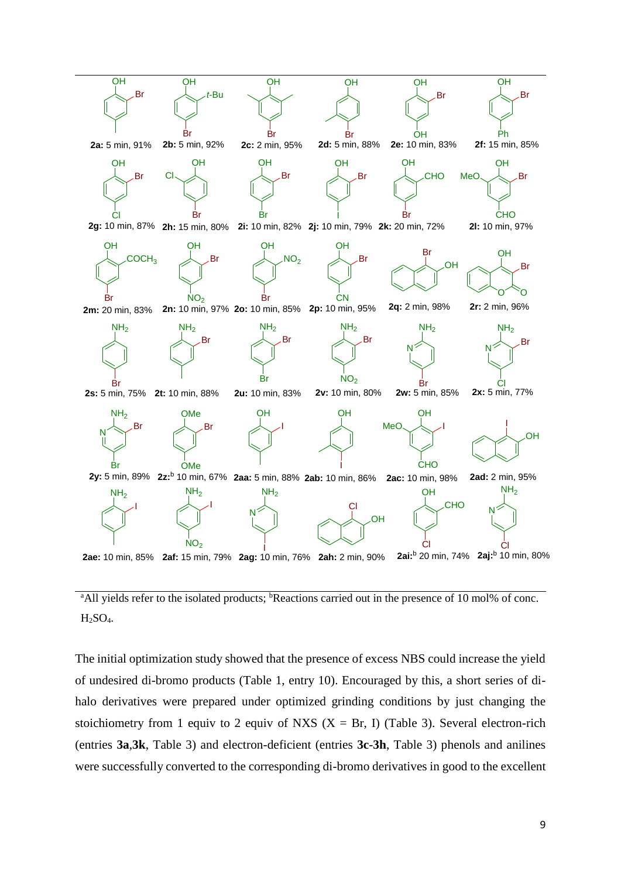

<sup>a</sup>All yields refer to the isolated products; <sup>b</sup>Reactions carried out in the presence of 10 mol% of conc. H2SO4.

The initial optimization study showed that the presence of excess NBS could increase the yield of undesired di-bromo products (Table 1, entry 10). Encouraged by this, a short series of dihalo derivatives were prepared under optimized grinding conditions by just changing the stoichiometry from 1 equiv to 2 equiv of NXS  $(X = Br, I)$  (Table 3). Several electron-rich (entries **3a**,**3k**, Table 3) and electron-deficient (entries **3c**-**3h**, Table 3) phenols and anilines were successfully converted to the corresponding di-bromo derivatives in good to the excellent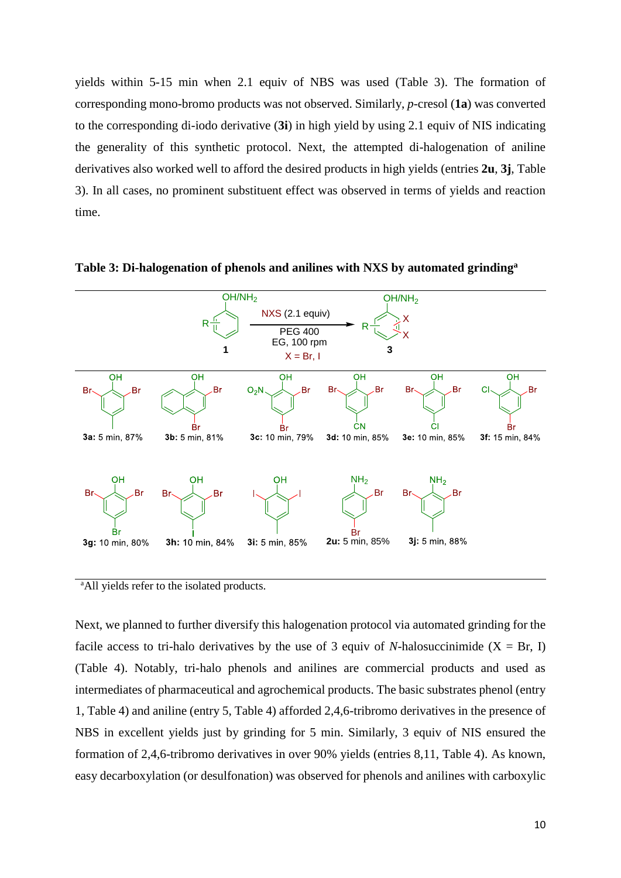yields within 5-15 min when 2.1 equiv of NBS was used (Table 3). The formation of corresponding mono-bromo products was not observed. Similarly, *p*-cresol (**1a**) was converted to the corresponding di-iodo derivative (**3i**) in high yield by using 2.1 equiv of NIS indicating the generality of this synthetic protocol. Next, the attempted di-halogenation of aniline derivatives also worked well to afford the desired products in high yields (entries **2u**, **3j**, Table 3). In all cases, no prominent substituent effect was observed in terms of yields and reaction time.



**Table 3: Di-halogenation of phenols and anilines with NXS by automated grinding<sup>a</sup>**

<sup>a</sup>All yields refer to the isolated products.

Next, we planned to further diversify this halogenation protocol via automated grinding for the facile access to tri-halo derivatives by the use of 3 equiv of *N*-halosuccinimide ( $X = Br$ , I) (Table 4). Notably, tri-halo phenols and anilines are commercial products and used as intermediates of pharmaceutical and agrochemical products. The basic substrates phenol (entry 1, Table 4) and aniline (entry 5, Table 4) afforded 2,4,6-tribromo derivatives in the presence of NBS in excellent yields just by grinding for 5 min. Similarly, 3 equiv of NIS ensured the formation of 2,4,6-tribromo derivatives in over 90% yields (entries 8,11, Table 4). As known, easy decarboxylation (or desulfonation) was observed for phenols and anilines with carboxylic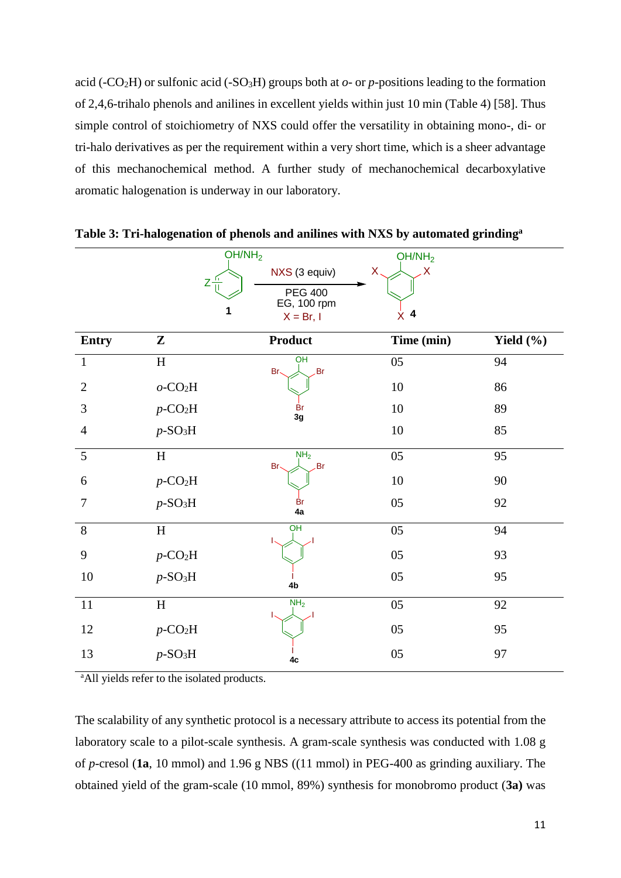acid (-CO<sub>2</sub>H) or sulfonic acid (-SO<sub>3</sub>H) groups both at  $o$ - or  $p$ -positions leading to the formation of 2,4,6-trihalo phenols and anilines in excellent yields within just 10 min (Table 4) [58]. Thus simple control of stoichiometry of NXS could offer the versatility in obtaining mono-, di- or tri-halo derivatives as per the requirement within a very short time, which is a sheer advantage of this mechanochemical method. A further study of mechanochemical decarboxylative aromatic halogenation is underway in our laboratory.

|                | OH/NH <sub>2</sub>                 |                               | OH/NH <sub>2</sub> |               |
|----------------|------------------------------------|-------------------------------|--------------------|---------------|
|                | -11<br>$Z_{\text{H}}^{\text{th}}$  | NXS (3 equiv)                 | Χ.<br>Χ            |               |
|                |                                    | <b>PEG 400</b>                |                    |               |
|                | 1                                  | EG, 100 rpm<br>$X = Br, I$    | $\dot{x}$ 4        |               |
| <b>Entry</b>   | $\mathbf{Z}$                       | <b>Product</b>                | Time (min)         | Yield $(\% )$ |
| $\mathbf{1}$   | H                                  | $rac{}{OH}$<br>Br.<br>Br-     | 05                 | 94            |
| $\overline{2}$ | $o$ -CO <sub>2</sub> H             |                               | 10                 | 86            |
| 3              | $p$ -CO <sub>2</sub> H             | Br<br>3g                      | 10                 | 89            |
| $\overline{4}$ | $p$ -SO <sub>3</sub> H             |                               | 10                 | 85            |
| 5              | H                                  | NH <sub>2</sub><br>Br-<br>Br. | 05                 | 95            |
| 6              | $p$ -CO <sub>2</sub> H             |                               | 10                 | 90            |
| $\overline{7}$ | $p$ -SO <sub>3</sub> H             | <b>Br</b><br>4a               | 05                 | 92            |
| 8              | H                                  | OH                            | 05                 | 94            |
| 9              | $p$ -CO <sub>2</sub> H             |                               | 05                 | 93            |
| 10             | $p$ -SO <sub>3</sub> H             | 4b                            | 05                 | 95            |
| 11             | H                                  | NH <sub>2</sub>               | 05                 | 92            |
| 12             | $p\text{-}\mathrm{CO}_2\mathrm{H}$ |                               | 05                 | 95            |
| 13             | $p$ -SO <sub>3</sub> H             | 4c                            | 05                 | 97            |

**Table 3: Tri-halogenation of phenols and anilines with NXS by automated grinding<sup>a</sup>**

<sup>a</sup>All yields refer to the isolated products.

The scalability of any synthetic protocol is a necessary attribute to access its potential from the laboratory scale to a pilot-scale synthesis. A gram-scale synthesis was conducted with 1.08 g of *p*-cresol (**1a**, 10 mmol) and 1.96 g NBS ((11 mmol) in PEG-400 as grinding auxiliary. The obtained yield of the gram-scale (10 mmol, 89%) synthesis for monobromo product (**3a)** was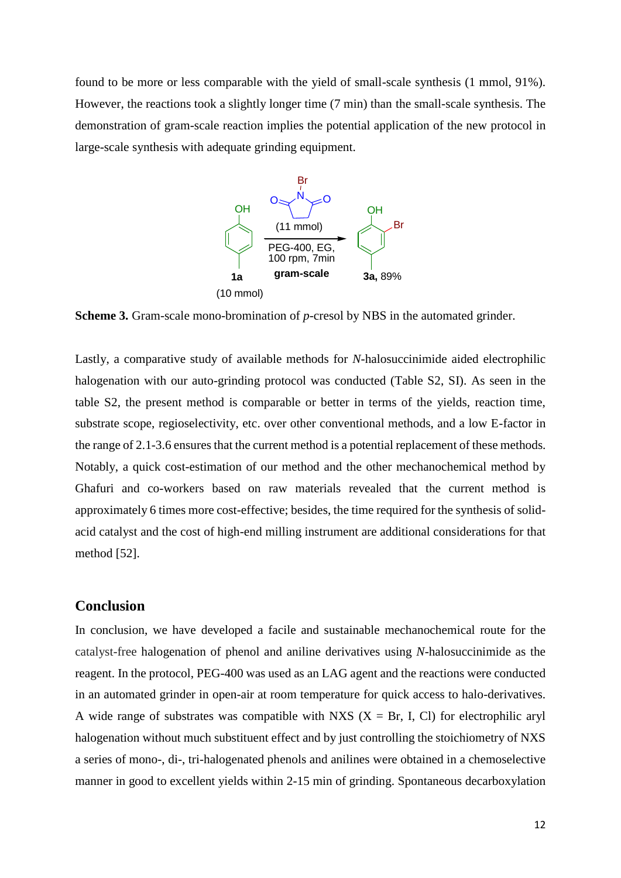found to be more or less comparable with the yield of small-scale synthesis (1 mmol, 91%). However, the reactions took a slightly longer time (7 min) than the small-scale synthesis. The demonstration of gram-scale reaction implies the potential application of the new protocol in large-scale synthesis with adequate grinding equipment.



**Scheme 3.** Gram-scale mono-bromination of *p*-cresol by NBS in the automated grinder.

Lastly, a comparative study of available methods for *N-*halosuccinimide aided electrophilic halogenation with our auto-grinding protocol was conducted (Table S2, SI). As seen in the table S2, the present method is comparable or better in terms of the yields, reaction time, substrate scope, regioselectivity, etc. over other conventional methods, and a low E-factor in the range of 2.1-3.6 ensures that the current method is a potential replacement of these methods. Notably, a quick cost-estimation of our method and the other mechanochemical method by Ghafuri and co-workers based on raw materials revealed that the current method is approximately 6 times more cost-effective; besides, the time required for the synthesis of solidacid catalyst and the cost of high-end milling instrument are additional considerations for that method [52].

## **Conclusion**

In conclusion, we have developed a facile and sustainable mechanochemical route for the catalyst-free halogenation of phenol and aniline derivatives using *N*-halosuccinimide as the reagent. In the protocol, PEG-400 was used as an LAG agent and the reactions were conducted in an automated grinder in open-air at room temperature for quick access to halo-derivatives. A wide range of substrates was compatible with NXS  $(X = Br, I, Cl)$  for electrophilic aryl halogenation without much substituent effect and by just controlling the stoichiometry of NXS a series of mono-, di-, tri-halogenated phenols and anilines were obtained in a chemoselective manner in good to excellent yields within 2-15 min of grinding. Spontaneous decarboxylation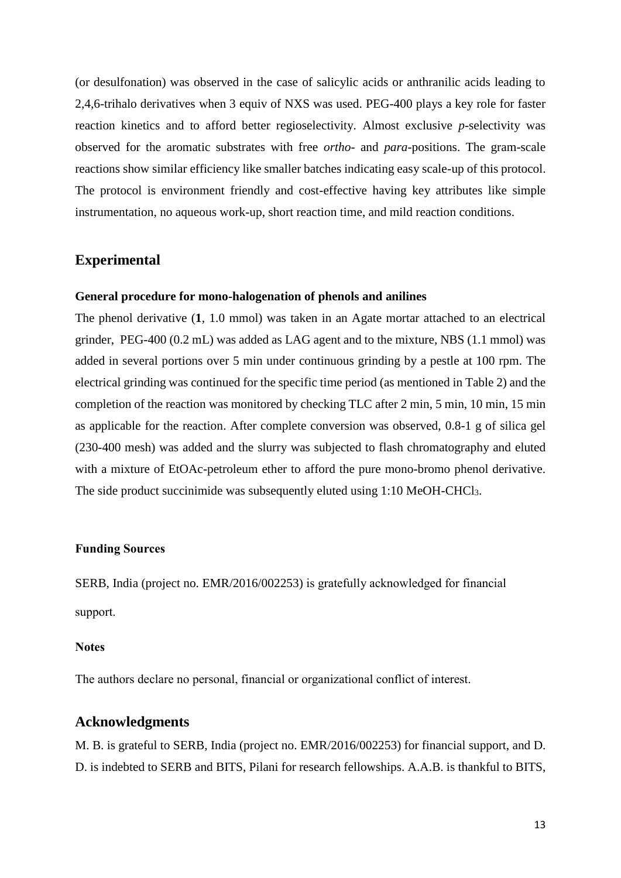(or desulfonation) was observed in the case of salicylic acids or anthranilic acids leading to 2,4,6-trihalo derivatives when 3 equiv of NXS was used. PEG-400 plays a key role for faster reaction kinetics and to afford better regioselectivity. Almost exclusive *p*-selectivity was observed for the aromatic substrates with free *ortho-* and *para*-positions. The gram-scale reactions show similar efficiency like smaller batches indicating easy scale-up of this protocol. The protocol is environment friendly and cost-effective having key attributes like simple instrumentation, no aqueous work-up, short reaction time, and mild reaction conditions.

## **Experimental**

#### **General procedure for mono-halogenation of phenols and anilines**

The phenol derivative (**1**, 1.0 mmol) was taken in an Agate mortar attached to an electrical grinder, PEG-400 (0.2 mL) was added as LAG agent and to the mixture, NBS (1.1 mmol) was added in several portions over 5 min under continuous grinding by a pestle at 100 rpm. The electrical grinding was continued for the specific time period (as mentioned in Table 2) and the completion of the reaction was monitored by checking TLC after 2 min, 5 min, 10 min, 15 min as applicable for the reaction. After complete conversion was observed, 0.8-1 g of silica gel (230-400 mesh) was added and the slurry was subjected to flash chromatography and eluted with a mixture of EtOAc-petroleum ether to afford the pure mono-bromo phenol derivative. The side product succinimide was subsequently eluted using 1:10 MeOH-CHCl3.

### **Funding Sources**

SERB, India (project no. EMR/2016/002253) is gratefully acknowledged for financial support.

#### **Notes**

The authors declare no personal, financial or organizational conflict of interest.

## **Acknowledgments**

M. B. is grateful to SERB, India (project no. EMR/2016/002253) for financial support, and D. D. is indebted to SERB and BITS, Pilani for research fellowships. A.A.B. is thankful to BITS,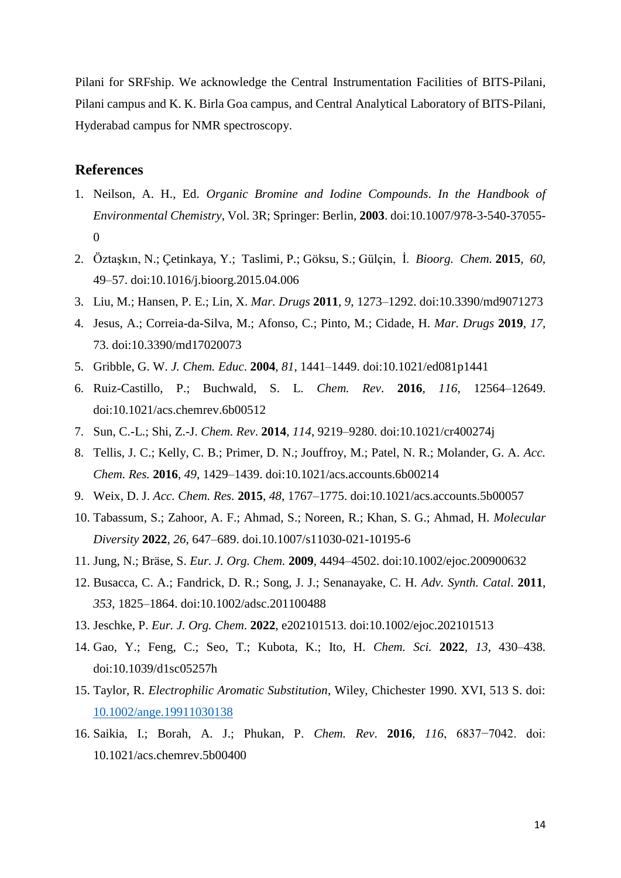Pilani for SRFship. We acknowledge the Central Instrumentation Facilities of BITS-Pilani, Pilani campus and K. K. Birla Goa campus, and Central Analytical Laboratory of BITS-Pilani, Hyderabad campus for NMR spectroscopy.

## **References**

- 1. Neilson, A. H., Ed. *Organic Bromine and Iodine Compounds*. *In the Handbook of Environmental Chemistry*, Vol. 3R; Springer: Berlin, **2003**. doi:10.1007/978-3-540-37055- 0
- 2. Öztaşkın, N.; Çetinkaya, Y.; Taslimi, P.; Göksu, S.; Gülçin, İ. *Bioorg. Chem.* **2015**, *60*, 49–57. doi:10.1016/j.bioorg.2015.04.006
- 3. Liu, M.; Hansen, P. E.; Lin, X. *Mar. Drugs* **2011**, *9*, 1273–1292. doi:10.3390/md9071273
- 4. Jesus, A.; Correia-da-Silva, M.; Afonso, C.; Pinto, M.; Cidade, H. *Mar. Drugs* **2019**, *17*, 73. doi:10.3390/md17020073
- 5. Gribble, G. W. *J. Chem. Educ*. **2004**, *81*, 1441–1449. doi:10.1021/ed081p1441
- 6. Ruiz-Castillo, P.; Buchwald, S. L. *Chem. Rev*. **2016**, *116*, 12564–12649. doi:10.1021/acs.chemrev.6b00512
- 7. Sun, C.-L.; Shi, Z.-J. *Chem. Rev*. **2014**, *114*, 9219–9280. doi:10.1021/cr400274j
- 8. Tellis, J. C.; Kelly, C. B.; Primer, D. N.; Jouffroy, M.; Patel, N. R.; Molander, G. A. *Acc. Chem. Res.* **2016**, *49*, 1429–1439. doi:10.1021/acs.accounts.6b00214
- 9. Weix, D. J. *Acc. Chem. Res.* **2015**, *48*, 1767–1775. doi:10.1021/acs.accounts.5b00057
- 10. Tabassum, S.; Zahoor, A. F.; Ahmad, S.; Noreen, R.; Khan, S. G.; Ahmad, H. *Molecular Diversity* **2022**, *26*, 647–689. doi.10.1007/s11030-021-10195-6
- 11. Jung, N.; Bräse, S. *Eur. J. Org. Chem.* **2009**, 4494–4502. doi:10.1002/ejoc.200900632
- 12. Busacca, C. A.; Fandrick, D. R.; Song, J. J.; Senanayake, C. H. *Adv. Synth. Catal*. **2011**, *353*, 1825–1864. doi:10.1002/adsc.201100488
- 13. Jeschke, P. *Eur. J. Org. Chem*. **2022**, e202101513. doi:10.1002/ejoc.202101513
- 14. Gao, Y.; Feng, C.; Seo, T.; Kubota, K.; Ito, H. *Chem. Sci.* **2022**, *13*, 430–438. doi:10.1039/d1sc05257h
- 15. Taylor, R. *Electrophilic Aromatic Substitution*, Wiley, Chichester 1990. XVI, 513 S. doi: [10.1002/ange.19911030138](https://doi.org/10.1002/ange.19911030138)
- 16. Saikia, I.; Borah, A. J.; Phukan, P. *Chem. Rev*. **2016**, *116*, 6837−7042. doi: 10.1021/acs.chemrev.5b00400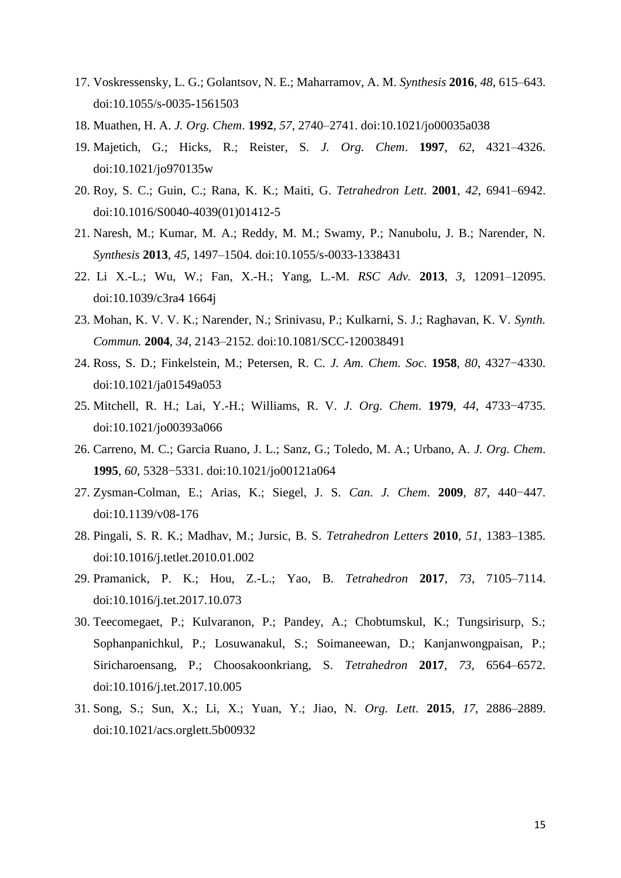- 17. Voskressensky, L. G.; Golantsov, N. E.; Maharramov, A. M. *Synthesis* **2016**, *48*, 615–643. doi:10.1055/s-0035-1561503
- 18. Muathen, H. A. *J. Org. Chem*. **1992**, *57*, 2740–2741. doi:10.1021/jo00035a038
- 19. Majetich, G.; Hicks, R.; Reister, S. *J. Org. Chem*. **1997**, *62*, 4321–4326. doi:10.1021/jo970135w
- 20. Roy, S. C.; Guin, C.; Rana, K. K.; Maiti, G. *Tetrahedron Lett*. **2001**, *42*, 6941–6942. doi:10.1016/S0040-4039(01)01412-5
- 21. Naresh, M.; Kumar, M. A.; Reddy, M. M.; Swamy, P.; Nanubolu, J. B.; Narender, N. *Synthesis* **2013**, *45*, 1497–1504. doi:10.1055/s-0033-1338431
- 22. Li X.-L.; Wu, W.; Fan, X.-H.; Yang, L.-M. *RSC Adv.* **2013**, *3*, 12091–12095. doi:10.1039/c3ra4 1664j
- 23. Mohan, K. V. V. K.; Narender, N.; Srinivasu, P.; Kulkarni, S. J.; Raghavan, K. V. *Synth. Commun.* **2004**, *34*, 2143–2152. doi:10.1081/SCC-120038491
- 24. Ross, S. D.; Finkelstein, M.; Petersen, R. C. *J. Am. Chem. Soc*. **1958**, *80*, 4327−4330. doi:10.1021/ja01549a053
- 25. Mitchell, R. H.; Lai, Y.-H.; Williams, R. V. *J. Org. Chem*. **1979**, *44*, 4733−4735. doi:10.1021/jo00393a066
- 26. Carreno, M. C.; Garcia Ruano, J. L.; Sanz, G.; Toledo, M. A.; Urbano, A. *J. Org. Chem*. **1995**, *60*, 5328−5331. doi:10.1021/jo00121a064
- 27. Zysman-Colman, E.; Arias, K.; Siegel, J. S. *Can. J. Chem*. **2009**, *87*, 440−447. doi:10.1139/v08-176
- 28. Pingali, S. R. K.; Madhav, M.; Jursic, B. S. *Tetrahedron Letters* **2010**, *51*, 1383–1385. doi:10.1016/j.tetlet.2010.01.002
- 29. Pramanick, P. K.; Hou, Z.-L.; Yao, B. *Tetrahedron* **2017**, *73*, 7105–7114. doi:10.1016/j.tet.2017.10.073
- 30. Teecomegaet, P.; Kulvaranon, P.; Pandey, A.; Chobtumskul, K.; Tungsirisurp, S.; Sophanpanichkul, P.; Losuwanakul, S.; Soimaneewan, D.; Kanjanwongpaisan, P.; Siricharoensang, P.; Choosakoonkriang, S. *Tetrahedron* **2017**, *73*, 6564–6572. doi:10.1016/j.tet.2017.10.005
- 31. Song, S.; Sun, X.; Li, X.; Yuan, Y.; Jiao, N. *Org. Lett*. **2015**, *17*, 2886–2889. doi:10.1021/acs.orglett.5b00932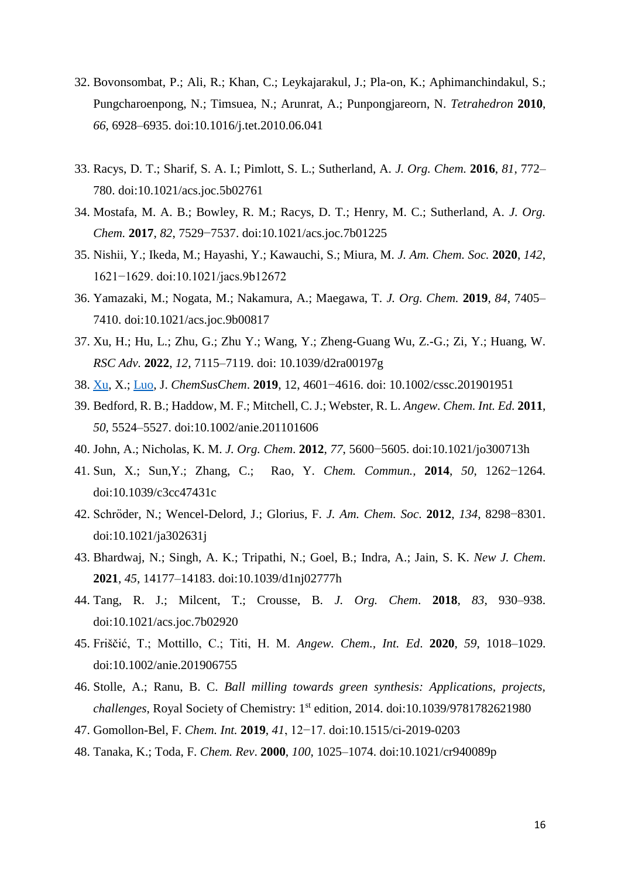- 32. Bovonsombat, P.; Ali, R.; Khan, C.; Leykajarakul, J.; Pla-on, K.; Aphimanchindakul, S.; Pungcharoenpong, N.; Timsuea, N.; Arunrat, A.; Punpongjareorn, N. *Tetrahedron* **2010**, *66*, 6928–6935. doi:10.1016/j.tet.2010.06.041
- 33. Racys, D. T.; Sharif, S. A. I.; Pimlott, S. L.; Sutherland, A. *J. Org. Chem.* **2016**, *81*, 772– 780. doi:10.1021/acs.joc.5b02761
- 34. Mostafa, M. A. B.; Bowley, R. M.; Racys, D. T.; Henry, M. C.; Sutherland, A. *J. Org. Chem.* **2017**, *82*, 7529−7537. doi:10.1021/acs.joc.7b01225
- 35. Nishii, Y.; Ikeda, M.; Hayashi, Y.; Kawauchi, S.; Miura, M. *J. Am. Chem. Soc.* **2020**, *142*, 1621−1629. doi:10.1021/jacs.9b12672
- 36. Yamazaki, M.; Nogata, M.; Nakamura, A.; Maegawa, T. *J. Org. Chem.* **2019**, *84*, 7405– 7410. doi:10.1021/acs.joc.9b00817
- 37. Xu, H.; Hu, L.; Zhu, G.; Zhu Y.; Wang, Y.; Zheng-Guang Wu, Z.-G.; Zi, Y.; Huang, W. *RSC Adv.* **2022**, *12*, 7115–7119. doi: 10.1039/d2ra00197g
- 38. [Xu,](https://pubmed.ncbi.nlm.nih.gov/?term=Xu+X&cauthor_id=31418536) X.; [Luo,](https://pubmed.ncbi.nlm.nih.gov/?term=Luo+J&cauthor_id=31418536) J. *ChemSusChem*. **2019**, 12, 4601−4616. doi: 10.1002/cssc.201901951
- 39. Bedford, R. B.; Haddow, M. F.; Mitchell, C. J.; Webster, R. L. *Angew. Chem. Int. Ed.* **2011**, *50*, 5524–5527. doi:10.1002/anie.201101606
- 40. John, A.; Nicholas, K. M. *J. Org. Chem*. **2012**, *77*, 5600−5605. doi:10.1021/jo300713h
- 41. Sun, X.; Sun,Y.; Zhang, C.; Rao, Y. *Chem. Commun.,* **2014**, *50*, 1262−1264. doi:10.1039/c3cc47431c
- 42. Schröder, N.; Wencel-Delord, J.; Glorius, F. *J. Am. Chem. Soc*. **2012**, *134*, 8298−8301. doi:10.1021/ja302631j
- 43. Bhardwaj, N.; Singh, A. K.; Tripathi, N.; Goel, B.; Indra, A.; Jain, S. K. *New J. Chem*. **2021**, *45*, 14177–14183. doi:10.1039/d1nj02777h
- 44. Tang, R. J.; Milcent, T.; Crousse, B. *J. Org. Chem*. **2018**, *83*, 930–938. doi:10.1021/acs.joc.7b02920
- 45. Friščić, T.; Mottillo, C.; Titi, H. M. *Angew. Chem., Int. Ed*. **2020**, *59*, 1018–1029. doi:10.1002/anie.201906755
- 46. Stolle, A.; Ranu, B. C. *Ball milling towards green synthesis: Applications, projects, challenges*, Royal Society of Chemistry: 1st edition, 2014. doi:10.1039/9781782621980
- 47. Gomollon-Bel, F. *Chem. Int.* **2019**, *41*, 12−17. doi:10.1515/ci-2019-0203
- 48. Tanaka, K.; Toda, F. *Chem. Rev*. **2000**, *100*, 1025–1074. doi:10.1021/cr940089p